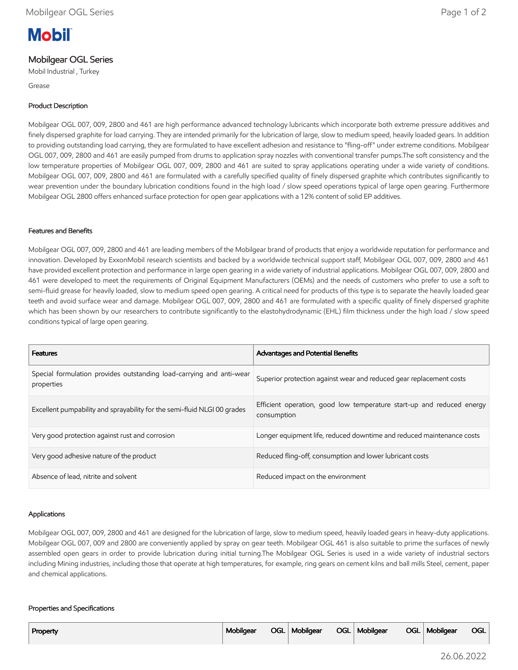# **Mobil**

## Mobilgear OGL Series

Mobil Industrial , Turkey

Grease

## Product Description

Mobilgear OGL 007, 009, 2800 and 461 are high performance advanced technology lubricants which incorporate both extreme pressure additives and finely dispersed graphite for load carrying. They are intended primarily for the lubrication of large, slow to medium speed, heavily loaded gears. In addition to providing outstanding load carrying, they are formulated to have excellent adhesion and resistance to "fling-off" under extreme conditions. Mobilgear OGL 007, 009, 2800 and 461 are easily pumped from drums to application spray nozzles with conventional transfer pumps.The soft consistency and the low temperature properties of Mobilgear OGL 007, 009, 2800 and 461 are suited to spray applications operating under a wide variety of conditions. Mobilgear OGL 007, 009, 2800 and 461 are formulated with a carefully specified quality of finely dispersed graphite which contributes significantly to wear prevention under the boundary lubrication conditions found in the high load / slow speed operations typical of large open gearing. Furthermore Mobilgear OGL 2800 offers enhanced surface protection for open gear applications with a 12% content of solid EP additives.

## Features and Benefits

Mobilgear OGL 007, 009, 2800 and 461 are leading members of the Mobilgear brand of products that enjoy a worldwide reputation for performance and innovation. Developed by ExxonMobil research scientists and backed by a worldwide technical support staff, Mobilgear OGL 007, 009, 2800 and 461 have provided excellent protection and performance in large open gearing in a wide variety of industrial applications. Mobilgear OGL 007, 009, 2800 and 461 were developed to meet the requirements of Original Equipment Manufacturers (OEMs) and the needs of customers who prefer to use a soft to semi-fluid grease for heavily loaded, slow to medium speed open gearing. A critical need for products of this type is to separate the heavily loaded gear teeth and avoid surface wear and damage. Mobilgear OGL 007, 009, 2800 and 461 are formulated with a specific quality of finely dispersed graphite which has been shown by our researchers to contribute significantly to the elastohydrodynamic (EHL) film thickness under the high load / slow speed conditions typical of large open gearing.

| <b>Features</b>                                                                    | <b>Advantages and Potential Benefits</b>                                             |
|------------------------------------------------------------------------------------|--------------------------------------------------------------------------------------|
| Special formulation provides outstanding load-carrying and anti-wear<br>properties | Superior protection against wear and reduced gear replacement costs                  |
| Excellent pumpability and sprayability for the semi-fluid NLGI 00 grades           | Efficient operation, good low temperature start-up and reduced energy<br>consumption |
| Very good protection against rust and corrosion                                    | Longer equipment life, reduced downtime and reduced maintenance costs                |
| Very good adhesive nature of the product                                           | Reduced fling-off, consumption and lower lubricant costs                             |
| Absence of lead, nitrite and solvent                                               | Reduced impact on the environment                                                    |

### Applications

Mobilgear OGL 007, 009, 2800 and 461 are designed for the lubrication of large, slow to medium speed, heavily loaded gears in heavy-duty applications. Mobilgear OGL 007, 009 and 2800 are conveniently applied by spray on gear teeth. Mobilgear OGL 461 is also suitable to prime the surfaces of newly assembled open gears in order to provide lubrication during initial turning.The Mobilgear OGL Series is used in a wide variety of industrial sectors including Mining industries, including those that operate at high temperatures, for example, ring gears on cement kilns and ball mills Steel, cement, paper and chemical applications.

#### Properties and Specifications

| Property | Mobilgear |  | OGL   Mobilgear |  | OGL   Mobilgear |  | OGL   Mobilgear | <b>OGL</b> |
|----------|-----------|--|-----------------|--|-----------------|--|-----------------|------------|
|----------|-----------|--|-----------------|--|-----------------|--|-----------------|------------|